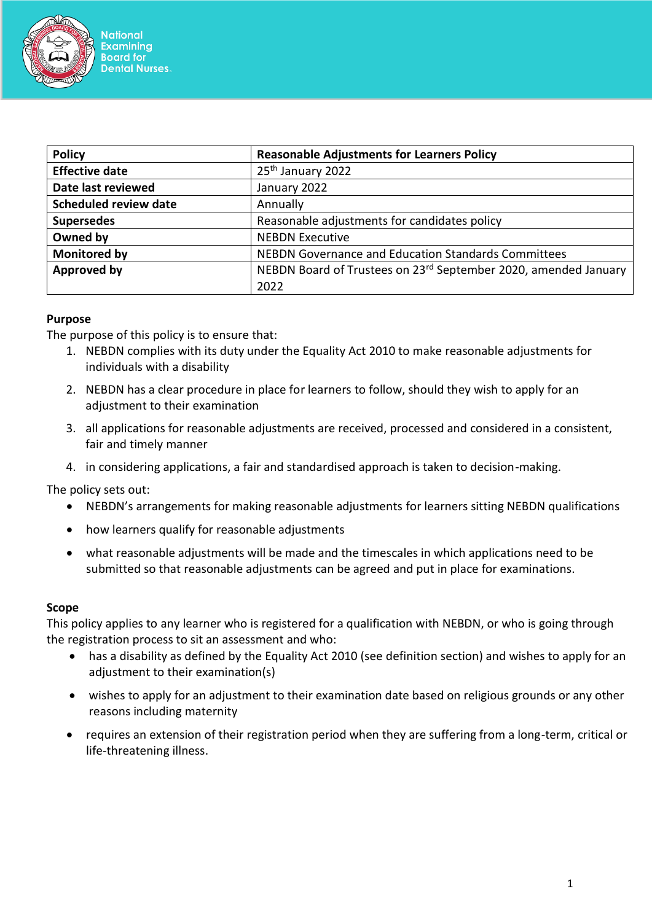

**National Examining Board for Dental Nurses.** 

| <b>Policy</b>                | <b>Reasonable Adjustments for Learners Policy</b>               |
|------------------------------|-----------------------------------------------------------------|
| <b>Effective date</b>        | 25 <sup>th</sup> January 2022                                   |
| Date last reviewed           | January 2022                                                    |
| <b>Scheduled review date</b> | Annually                                                        |
| <b>Supersedes</b>            | Reasonable adjustments for candidates policy                    |
| Owned by                     | <b>NEBDN Executive</b>                                          |
| <b>Monitored by</b>          | NEBDN Governance and Education Standards Committees             |
| <b>Approved by</b>           | NEBDN Board of Trustees on 23rd September 2020, amended January |
|                              | 2022                                                            |

### **Purpose**

The purpose of this policy is to ensure that:

- 1. NEBDN complies with its duty under the Equality Act 2010 to make reasonable adjustments for individuals with a disability
- 2. NEBDN has a clear procedure in place for learners to follow, should they wish to apply for an adjustment to their examination
- 3. all applications for reasonable adjustments are received, processed and considered in a consistent, fair and timely manner
- 4. in considering applications, a fair and standardised approach is taken to decision-making.

The policy sets out:

- NEBDN's arrangements for making reasonable adjustments for learners sitting NEBDN qualifications
- how learners qualify for reasonable adjustments
- what reasonable adjustments will be made and the timescales in which applications need to be submitted so that reasonable adjustments can be agreed and put in place for examinations.

### **Scope**

This policy applies to any learner who is registered for a qualification with NEBDN, or who is going through the registration process to sit an assessment and who:

- has a disability as defined by the Equality Act 2010 (see definition section) and wishes to apply for an adjustment to their examination(s)
- wishes to apply for an adjustment to their examination date based on religious grounds or any other reasons including maternity
- requires an extension of their registration period when they are suffering from a long-term, critical or life-threatening illness.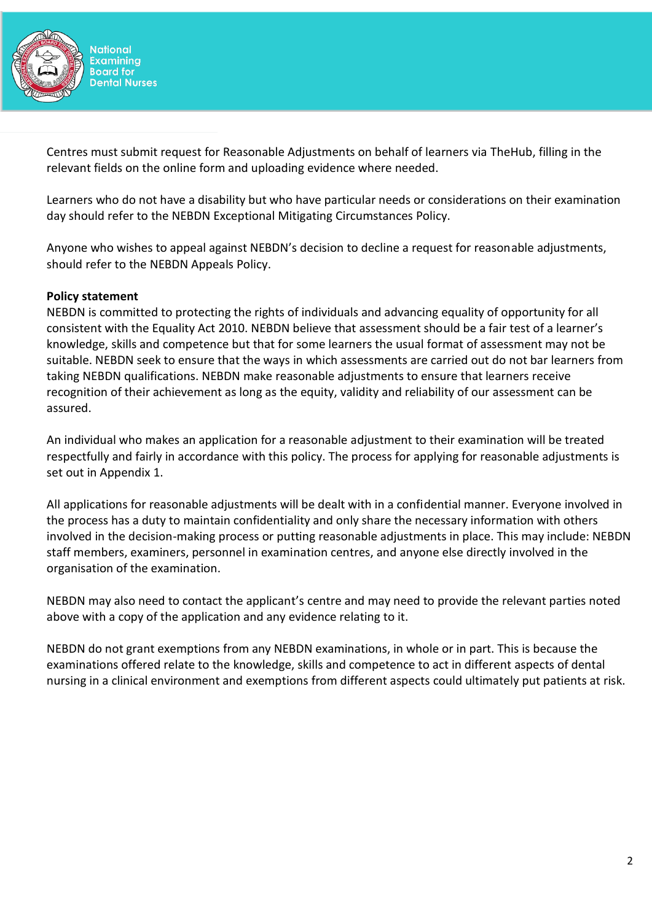

Centres must submit request for Reasonable Adjustments on behalf of learners via TheHub, filling in the relevant fields on the online form and uploading evidence where needed.

Learners who do not have a disability but who have particular needs or considerations on their examination day should refer to the NEBDN Exceptional Mitigating Circumstances Policy.

Anyone who wishes to appeal against NEBDN's decision to decline a request for reasonable adjustments, should refer to the NEBDN Appeals Policy.

### **Policy statement**

NEBDN is committed to protecting the rights of individuals and advancing equality of opportunity for all consistent with the Equality Act 2010. NEBDN believe that assessment should be a fair test of a learner's knowledge, skills and competence but that for some learners the usual format of assessment may not be suitable. NEBDN seek to ensure that the ways in which assessments are carried out do not bar learners from taking NEBDN qualifications. NEBDN make reasonable adjustments to ensure that learners receive recognition of their achievement as long as the equity, validity and reliability of our assessment can be assured.

An individual who makes an application for a reasonable adjustment to their examination will be treated respectfully and fairly in accordance with this policy. The process for applying for reasonable adjustments is set out in Appendix 1.

All applications for reasonable adjustments will be dealt with in a confidential manner. Everyone involved in the process has a duty to maintain confidentiality and only share the necessary information with others involved in the decision-making process or putting reasonable adjustments in place. This may include: NEBDN staff members, examiners, personnel in examination centres, and anyone else directly involved in the organisation of the examination.

NEBDN may also need to contact the applicant's centre and may need to provide the relevant parties noted above with a copy of the application and any evidence relating to it.

NEBDN do not grant exemptions from any NEBDN examinations, in whole or in part. This is because the examinations offered relate to the knowledge, skills and competence to act in different aspects of dental nursing in a clinical environment and exemptions from different aspects could ultimately put patients at risk.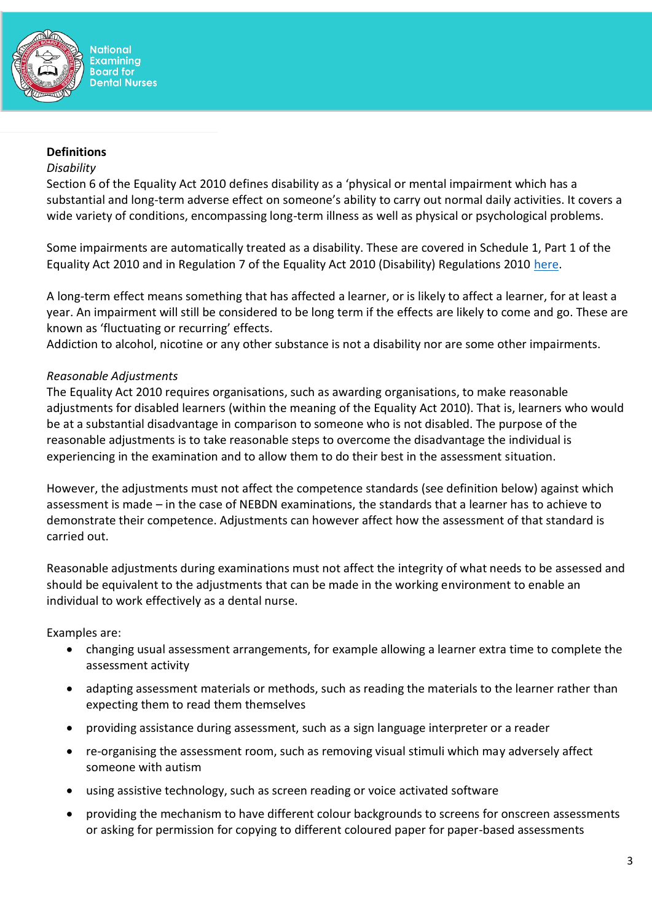

### **Definitions**

### *Disability*

Section 6 of the Equality Act 2010 defines disability as a 'physical or mental impairment which has a substantial and long-term adverse effect on someone's ability to carry out normal daily activities. It covers a wide variety of conditions, encompassing long-term illness as well as physical or psychological problems.

Some impairments are automatically treated as a disability. These are covered in Schedule 1, Part 1 of the Equality Act 2010 and in Regulation 7 of the Equality Act 2010 (Disability) Regulations 2010 [here.](http://www.legislation.gov.uk/uksi/2010/2128/made#:~:text=Regulation%207%20deems%20a%20person,to%20be%20a%20disabled%20person.&text=Regulation%2010%20sets%20out%20the,Schedule%2021%20to%20the%20Act)

A long-term effect means something that has affected a learner, or is likely to affect a learner, for at least a year. An impairment will still be considered to be long term if the effects are likely to come and go. These are known as 'fluctuating or recurring' effects.

Addiction to alcohol, nicotine or any other substance is not a disability nor are some other impairments.

### *Reasonable Adjustments*

The Equality Act 2010 requires organisations, such as awarding organisations, to make reasonable adjustments for disabled learners (within the meaning of the Equality Act 2010). That is, learners who would be at a substantial disadvantage in comparison to someone who is not disabled. The purpose of the reasonable adjustments is to take reasonable steps to overcome the disadvantage the individual is experiencing in the examination and to allow them to do their best in the assessment situation.

However, the adjustments must not affect the competence standards (see definition below) against which assessment is made – in the case of NEBDN examinations, the standards that a learner has to achieve to demonstrate their competence. Adjustments can however affect how the assessment of that standard is carried out.

Reasonable adjustments during examinations must not affect the integrity of what needs to be assessed and should be equivalent to the adjustments that can be made in the working environment to enable an individual to work effectively as a dental nurse.

Examples are:

- changing usual assessment arrangements, for example allowing a learner extra time to complete the assessment activity
- adapting assessment materials or methods, such as reading the materials to the learner rather than expecting them to read them themselves
- providing assistance during assessment, such as a sign language interpreter or a reader
- re-organising the assessment room, such as removing visual stimuli which may adversely affect someone with autism
- using assistive technology, such as screen reading or voice activated software
- providing the mechanism to have different colour backgrounds to screens for onscreen assessments or asking for permission for copying to different coloured paper for paper-based assessments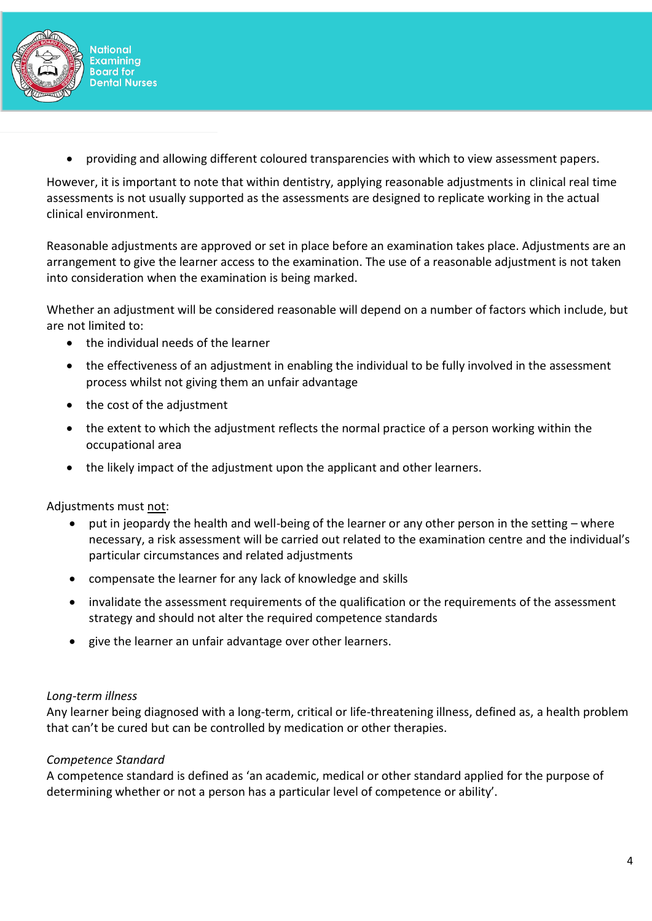

• providing and allowing different coloured transparencies with which to view assessment papers.

However, it is important to note that within dentistry, applying reasonable adjustments in clinical real time assessments is not usually supported as the assessments are designed to replicate working in the actual clinical environment.

Reasonable adjustments are approved or set in place before an examination takes place. Adjustments are an arrangement to give the learner access to the examination. The use of a reasonable adjustment is not taken into consideration when the examination is being marked.

Whether an adjustment will be considered reasonable will depend on a number of factors which include, but are not limited to:

- the individual needs of the learner
- the effectiveness of an adjustment in enabling the individual to be fully involved in the assessment process whilst not giving them an unfair advantage
- the cost of the adjustment
- the extent to which the adjustment reflects the normal practice of a person working within the occupational area
- the likely impact of the adjustment upon the applicant and other learners.

Adjustments must not:

- put in jeopardy the health and well-being of the learner or any other person in the setting where necessary, a risk assessment will be carried out related to the examination centre and the individual's particular circumstances and related adjustments
- compensate the learner for any lack of knowledge and skills
- invalidate the assessment requirements of the qualification or the requirements of the assessment strategy and should not alter the required competence standards
- give the learner an unfair advantage over other learners.

### *Long-term illness*

Any learner being diagnosed with a long-term, critical or life-threatening illness, defined as, a health problem that can't be cured but can be controlled by medication or other therapies.

### *Competence Standard*

A competence standard is defined as 'an academic, medical or other standard applied for the purpose of determining whether or not a person has a particular level of competence or ability'.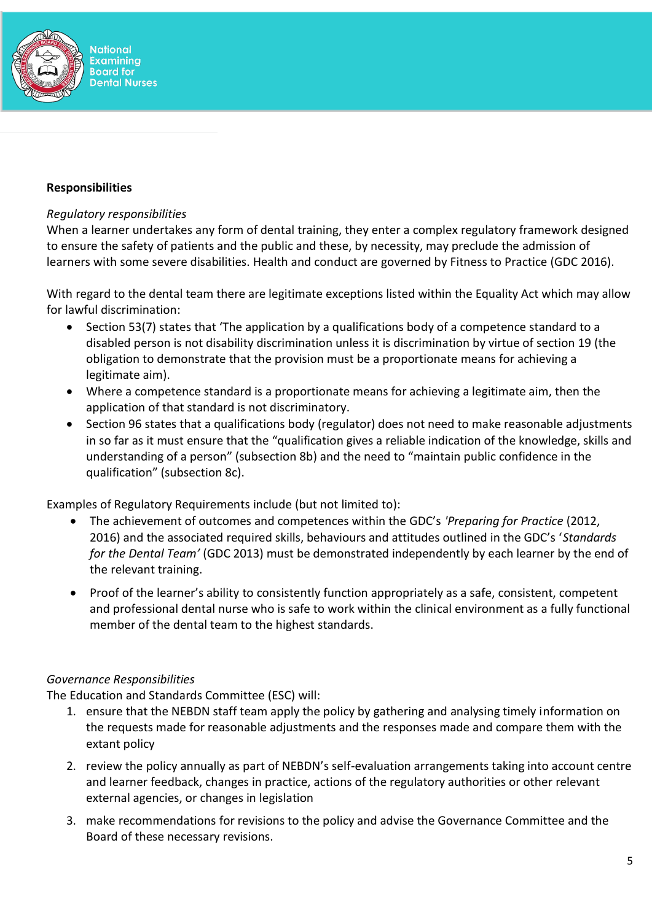

### **Responsibilities**

### *Regulatory responsibilities*

When a learner undertakes any form of dental training, they enter a complex regulatory framework designed to ensure the safety of patients and the public and these, by necessity, may preclude the admission of learners with some severe disabilities. Health and conduct are governed by Fitness to Practice (GDC 2016).

With regard to the dental team there are legitimate exceptions listed within the Equality Act which may allow for lawful discrimination:

- Section 53(7) states that 'The application by a qualifications body of a competence standard to a disabled person is not disability discrimination unless it is discrimination by virtue of section 19 (the obligation to demonstrate that the provision must be a proportionate means for achieving a legitimate aim).
- Where a competence standard is a proportionate means for achieving a legitimate aim, then the application of that standard is not discriminatory.
- Section 96 states that a qualifications body (regulator) does not need to make reasonable adjustments in so far as it must ensure that the "qualification gives a reliable indication of the knowledge, skills and understanding of a person" (subsection 8b) and the need to "maintain public confidence in the qualification" (subsection 8c).

Examples of Regulatory Requirements include (but not limited to):

- The achievement of outcomes and competences within the GDC's *'Preparing for Practice* (2012, 2016) and the associated required skills, behaviours and attitudes outlined in the GDC's '*Standards for the Dental Team'* (GDC 2013) must be demonstrated independently by each learner by the end of the relevant training.
- Proof of the learner's ability to consistently function appropriately as a safe, consistent, competent and professional dental nurse who is safe to work within the clinical environment as a fully functional member of the dental team to the highest standards.

# *Governance Responsibilities*

The Education and Standards Committee (ESC) will:

- 1. ensure that the NEBDN staff team apply the policy by gathering and analysing timely information on the requests made for reasonable adjustments and the responses made and compare them with the extant policy
- 2. review the policy annually as part of NEBDN's self-evaluation arrangements taking into account centre and learner feedback, changes in practice, actions of the regulatory authorities or other relevant external agencies, or changes in legislation
- 3. make recommendations for revisions to the policy and advise the Governance Committee and the Board of these necessary revisions.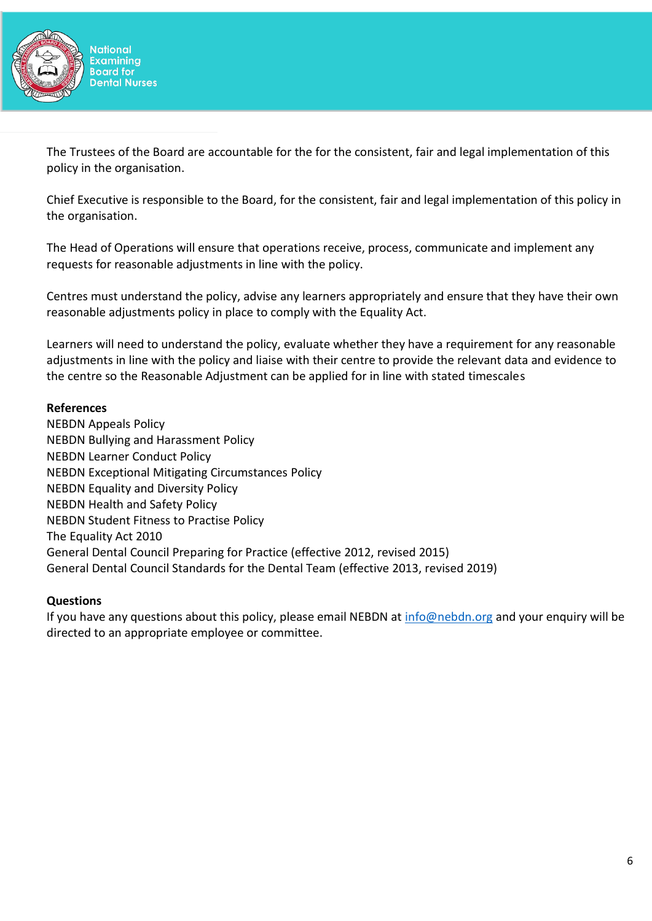

The Trustees of the Board are accountable for the for the consistent, fair and legal implementation of this policy in the organisation.

Chief Executive is responsible to the Board, for the consistent, fair and legal implementation of this policy in the organisation.

The Head of Operations will ensure that operations receive, process, communicate and implement any requests for reasonable adjustments in line with the policy.

Centres must understand the policy, advise any learners appropriately and ensure that they have their own reasonable adjustments policy in place to comply with the Equality Act.

Learners will need to understand the policy, evaluate whether they have a requirement for any reasonable adjustments in line with the policy and liaise with their centre to provide the relevant data and evidence to the centre so the Reasonable Adjustment can be applied for in line with stated timescales

### **References**

NEBDN Appeals Policy NEBDN Bullying and Harassment Policy NEBDN Learner Conduct Policy NEBDN Exceptional Mitigating Circumstances Policy NEBDN Equality and Diversity Policy NEBDN Health and Safety Policy NEBDN Student Fitness to Practise Policy The Equality Act 2010 General Dental Council Preparing for Practice (effective 2012, revised 2015) General Dental Council Standards for the Dental Team (effective 2013, revised 2019)

# **Questions**

If you have any questions about this policy, please email NEBDN at [info@nebdn.org](mailto:info@nebdn.org) and your enquiry will be directed to an appropriate employee or committee.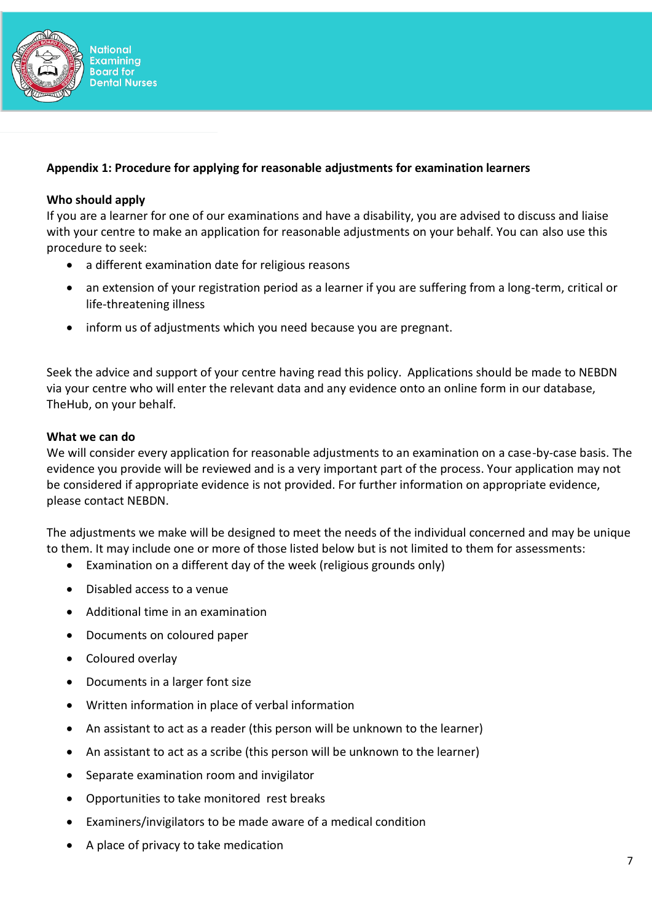

# **Appendix 1: Procedure for applying for reasonable adjustments for examination learners**

### **Who should apply**

If you are a learner for one of our examinations and have a disability, you are advised to discuss and liaise with your centre to make an application for reasonable adjustments on your behalf. You can also use this procedure to seek:

- a different examination date for religious reasons
- an extension of your registration period as a learner if you are suffering from a long-term, critical or life-threatening illness
- inform us of adjustments which you need because you are pregnant.

Seek the advice and support of your centre having read this policy. Applications should be made to NEBDN via your centre who will enter the relevant data and any evidence onto an online form in our database, TheHub, on your behalf.

#### **What we can do**

We will consider every application for reasonable adjustments to an examination on a case-by-case basis. The evidence you provide will be reviewed and is a very important part of the process. Your application may not be considered if appropriate evidence is not provided. For further information on appropriate evidence, please contact NEBDN.

The adjustments we make will be designed to meet the needs of the individual concerned and may be unique to them. It may include one or more of those listed below but is not limited to them for assessments:

- Examination on a different day of the week (religious grounds only)
- Disabled access to a venue
- Additional time in an examination
- Documents on coloured paper
- Coloured overlay
- Documents in a larger font size
- Written information in place of verbal information
- An assistant to act as a reader (this person will be unknown to the learner)
- An assistant to act as a scribe (this person will be unknown to the learner)
- Separate examination room and invigilator
- Opportunities to take monitored rest breaks
- Examiners/invigilators to be made aware of a medical condition
- A place of privacy to take medication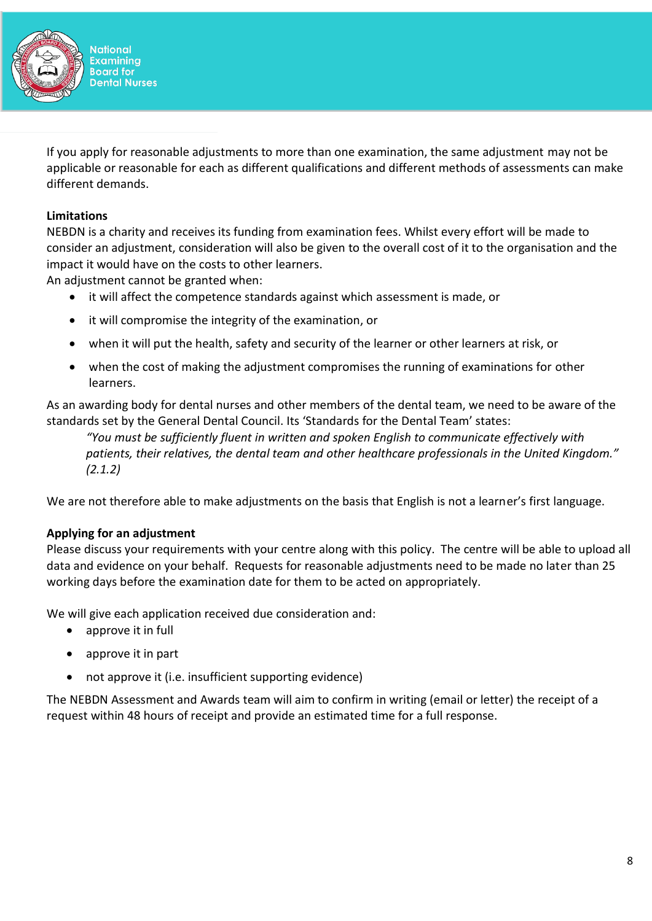

If you apply for reasonable adjustments to more than one examination, the same adjustment may not be applicable or reasonable for each as different qualifications and different methods of assessments can make different demands.

## **Limitations**

NEBDN is a charity and receives its funding from examination fees. Whilst every effort will be made to consider an adjustment, consideration will also be given to the overall cost of it to the organisation and the impact it would have on the costs to other learners.

An adjustment cannot be granted when:

- it will affect the competence standards against which assessment is made, or
- it will compromise the integrity of the examination, or
- when it will put the health, safety and security of the learner or other learners at risk, or
- when the cost of making the adjustment compromises the running of examinations for other learners.

As an awarding body for dental nurses and other members of the dental team, we need to be aware of the standards set by the General Dental Council. Its 'Standards for the Dental Team' states:

*"You must be sufficiently fluent in written and spoken English to communicate effectively with patients, their relatives, the dental team and other healthcare professionals in the United Kingdom." (2.1.2)*

We are not therefore able to make adjustments on the basis that English is not a learner's first language.

### **Applying for an adjustment**

Please discuss your requirements with your centre along with this policy. The centre will be able to upload all data and evidence on your behalf. Requests for reasonable adjustments need to be made no later than 25 working days before the examination date for them to be acted on appropriately.

We will give each application received due consideration and:

- approve it in full
- approve it in part
- not approve it (i.e. insufficient supporting evidence)

The NEBDN Assessment and Awards team will aim to confirm in writing (email or letter) the receipt of a request within 48 hours of receipt and provide an estimated time for a full response.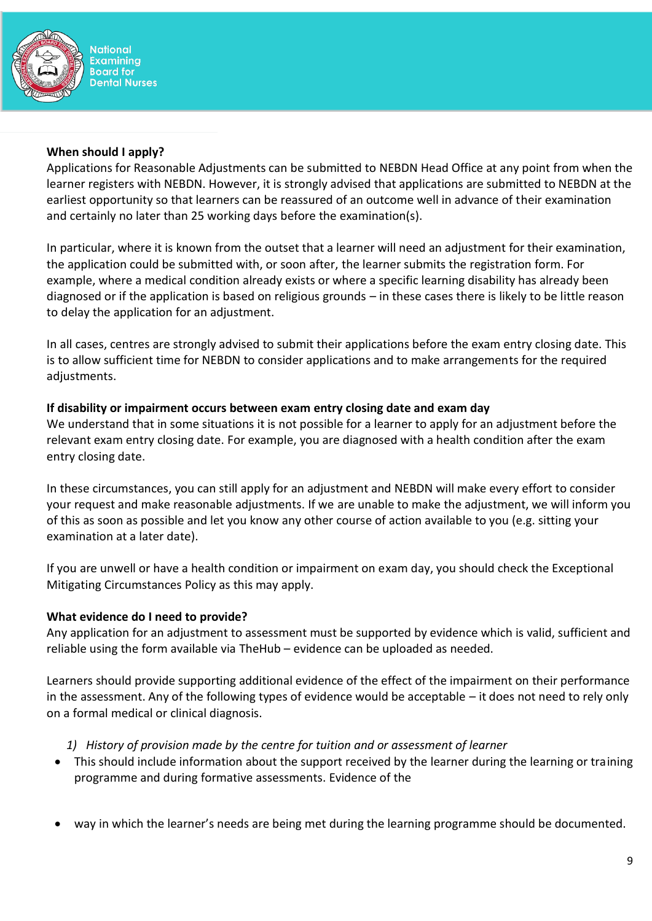

**National Examining Board for Dental Nurses** 

### **When should I apply?**

Applications for Reasonable Adjustments can be submitted to NEBDN Head Office at any point from when the learner registers with NEBDN. However, it is strongly advised that applications are submitted to NEBDN at the earliest opportunity so that learners can be reassured of an outcome well in advance of their examination and certainly no later than 25 working days before the examination(s).

In particular, where it is known from the outset that a learner will need an adjustment for their examination, the application could be submitted with, or soon after, the learner submits the registration form. For example, where a medical condition already exists or where a specific learning disability has already been diagnosed or if the application is based on religious grounds – in these cases there is likely to be little reason to delay the application for an adjustment.

In all cases, centres are strongly advised to submit their applications before the exam entry closing date. This is to allow sufficient time for NEBDN to consider applications and to make arrangements for the required adjustments.

# **If disability or impairment occurs between exam entry closing date and exam day**

We understand that in some situations it is not possible for a learner to apply for an adjustment before the relevant exam entry closing date. For example, you are diagnosed with a health condition after the exam entry closing date.

In these circumstances, you can still apply for an adjustment and NEBDN will make every effort to consider your request and make reasonable adjustments. If we are unable to make the adjustment, we will inform you of this as soon as possible and let you know any other course of action available to you (e.g. sitting your examination at a later date).

If you are unwell or have a health condition or impairment on exam day, you should check the Exceptional Mitigating Circumstances Policy as this may apply.

# **What evidence do I need to provide?**

Any application for an adjustment to assessment must be supported by evidence which is valid, sufficient and reliable using the form available via TheHub – evidence can be uploaded as needed.

Learners should provide supporting additional evidence of the effect of the impairment on their performance in the assessment. Any of the following types of evidence would be acceptable – it does not need to rely only on a formal medical or clinical diagnosis.

# *1) History of provision made by the centre for tuition and or assessment of learner*

- This should include information about the support received by the learner during the learning or training programme and during formative assessments. Evidence of the
- way in which the learner's needs are being met during the learning programme should be documented.